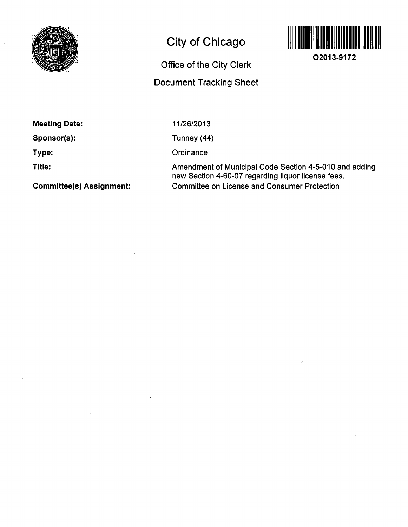

# **City of Chicago**

# **Office of the City Clerk Document Tracking Sheet**



**02013-9172** 

**Meeting Date:** 

**Sponsor(s):** 

**Type:** 

**Title:** 

**Committee(s) Assignment:** 

11/26/2013

Tunney (44)

**Ordinance** 

Amendment of Municipal Code Section 4-5-010 and adding new Section 4-60-07 regarding liquor license fees. Committee on License and Consumer Protection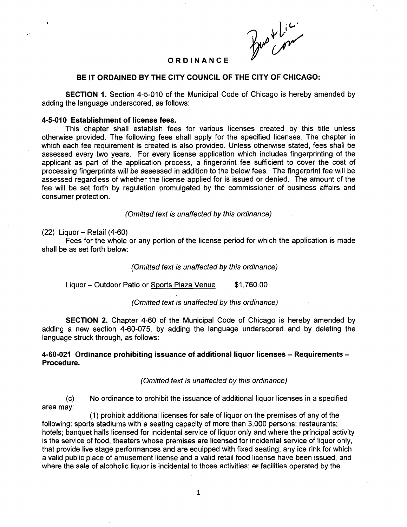Bus Lici

## **ORDINANC E**

### **BE IT ORDAINED BY THE CITY COUNCIL OF THE CITY OF CHICAGO:**

SECTION 1. Section 4-5-010 of the Municipal Code of Chicago is hereby amended by adding the language underscored, as follows:

#### **4-5-010 Establishment of license fees.**

This chapter shall establish fees for various licenses created by this title unless otherwise provided. The following fees shall apply for the specified licenses. The chapter in which each fee requirement is created is also provided. Unless otherwise stated, fees shall be assessed every two years. For every license application which includes fingerprinting of the applicant as part of the application process, a fingerprint fee sufficient to cover the cost of processing fingerprints will be assessed in addition to the below fees. The fingerprint fee will be assessed regardless of whether the license applied for is issued or denied. The amount of the fee will be set forth by regulation promulgated by the commissioner of business affairs and consumer protection.

(Omitted text is unaffected by this ordinance)

#### $(22)$  Liquor – Retail  $(4-60)$

Fees for the whole or any portion of the license period for which the application is made shall be as set forth below:

(Omitted text is unaffected by this ordinance)

Liquor - Outdoor Patio or Sports Plaza Venue \$1,760.00

(Omitted text is unaffected by this ordinance)

SECTION 2. Chapter 4-60 of the Municipal Code of Chicago is hereby amended by adding a new section 4-60-075, by adding the language underscored and by deleting the language struck through, as follows:

## **4-60-021 Ordinance prohibiting issuance of additional liquor licenses - Requirements - Procedure.**

#### (Omitted text is unaffected by this ordinance)

(c) No ordinance to prohibit the issuance of additional liquor licenses in a specified area may:

(1) prohibit additional licenses for sale of liquor on the premises of any of the following: sports stadiums with a seating capacity of more than 3,000 persons; restaurants; hotels; banquet halls licensed for incidental service of liquor only and where the principal activity is the service of food, theaters whose premises are licensed for incidental service of liquor only, that provide live stage performances and are equipped with fixed seating; any ice rink for which a valid public place of amusement license and a valid retail food license have been issued, and where the sale of alcoholic liquor is incidental to those activities; or facilities operated by the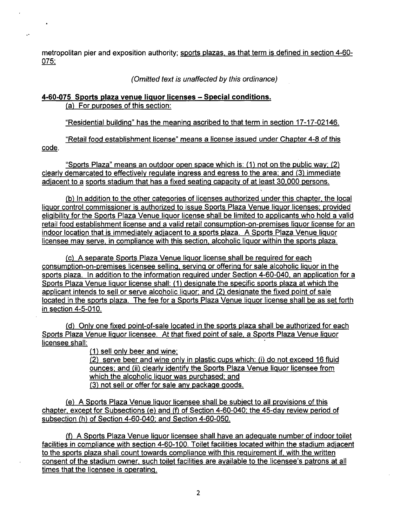metropolitan pier and exposition authority; sports plazas, as that term is defined in section 4-60- 075:

(Omitted text is unaffected by this ordinance)

## **4-60-075 Sports plaza venue liquor licenses - Special conditions.**  (a) For purposes of this section:

 $\overline{\phantom{a}}$  for purposes of this section:

"Residential building" has the meaning ascribed to that term in section 17-17-02146. "Residential building as the meaning ascribed to the meaning ascribed to the meaning ascribed to the meaning o<br>The meaning ascribed to the meaning ascribed to the meaning ascribed to the meaning ascribed to the meaning of

"Retail food establishment license" means a license issued under Chapter 4-8 of this contribution of this contribution.<br>"This contribution of this contribution of the chapter 4-8 of this contribution of the chapter 4-8 of code.

code. "Sports Plaza" means an outdoor open space which is: (1) not on the public way; (2) clearly demarcated to effectively regulate ingress and egress to the area; and (3) immediate adjacent to a sports stadium that has a fixed seating capacity of at least 30,000 persons.

(b) In addition to the other categories of licenses authorized under this chapter, the local liguor control commissioner is authorized to issue Sports Plaza Venue liguor licenses; provided eligibility for the Sports Plaza Venue liquor license shall be limited to applicants who hold a valid retail food establishment license and a valid retail consumption-on-premises liguor license for an indoor location that is immediately adjacent to a sports plaza. A Sports Plaza Venue liquor licensee may serve, in compliance with this section, alcoholic liguor within the sports plaza.

(c) A separate Sports Plaza Venue liguor license shall be reguired for each consumption-on-premises licensee selling, serving or offering for sale alcoholic liguor in the sports plaza. In addition to the information reguired under Section 4-60-040, an application for a Sports Plaza Venue liguor license shall: (1) designate the specific sports plaza at which the applicant intends to sell or serve alcoholic liguor: and (2) designate the fixed point of sale located in the sports plaza. The fee for a Sports Plaza Venue liguor license shall be as set forth in section 4-5-010.

(d) Only one fixed point-of-sale located in the sports plaza shall be authorized for each Sports Plaza Venue liquor licensee. At that fixed point of sale, a Sports Plaza Venue liquor licensee shall:

(1) sell only beer and wine; (2) serve beer and wine only in plastic cups which: (i) do not exceed 16 fluid ounces: and (ii) clearly identify the Sports Plaza Venue liguor licensee from which the alcoholic liguor was purchased; and (3) not sell or offer for sale any package goods.

(e) A Sports Plaza Venue liguor licensee shall be subject to all provisions of this chapter, except for Subsections (e) and (f) of Section 4-60-040; the 45-dav review period of subsection (h) of Section 4-60-040: and Section 4-60-050.

(f) A Sports Plaza Venue liguor licensee shall have an adeguate number of indoor toilet facilities in compliance with section 4-60-100. Toilet facilities located within the stadium adjacent to the sports plaza shall count towards compliance with this reguirement if, with the written consent of the stadium owner, such toilet facilities are available to the licensee's patrons at all times that the licensee is operating.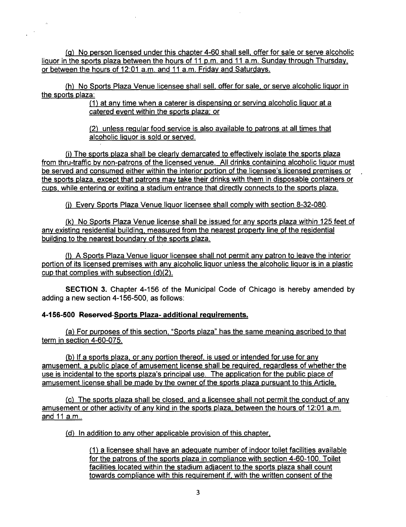(g) No person licensed under this chapter 4-60 shall sell, offer for sale or serve alcoholic liquor in the sports plaza between the hours of 11 p.m. and 11 a.m. Sunday through Thursday, or between the hours of 12:01 a.m. and 11 a.m. Friday and Saturdays.

(h) No Sports Plaza Venue licensee shall sell, offer for sale, or serve alcoholic liguor in the sports plaza:

(1) at anv time when a caterer is dispensing or serving alcoholic liguor at a catered event within the sports plaza: or

(2) unless regular food service is also available to patrons at all times that alcoholic liguor is sold or served.

(i) The sports plaza shall be clearly demarcated to effectively isolate the sports plaza from thru-traffic by non-patrons of the licensed venue. All drinks containing alcoholic liguor must be served and consumed either within the interior portion of the licensee's licensed premises or the sports plaza, except that patrons may take their drinks with them in disposable containers or cups, while entering or exiting a stadium entrance that directly connects to the sports plaza.

(j) Every Sports Plaza Venue liguor licensee shall comply with section 8-32-080.

(k) No Sports Plaza Venue license shall be issued for anv sports plaza within 125 feet of any existing residential building, measured from the nearest property line of the residential building to the nearest boundary of the sports plaza.

(I) A Sports Plaza Venue liguor licensee shall not permit anv patron to leave the interior portion of its licensed premises with any alcoholic liguor unless the alcoholic liguor is in a plastic cup that complies with subsection (d)(2).

SECTION 3. Chapter 4-156 of the Municipal Code of Chicago is hereby amended by adding a new section 4-156-500, as follows:

## **4-156-500 Reserved Sports Plaza- additional requirements.**

 $\sim 100$ 

(a) For purposes of this section. "Sports plaza" has the same meaning ascribed to that term in section 4-60-075.

(b) If a sports plaza, or any portion thereof, is used or intended for use for any amusement, a public place of amusement license shall be reguired. regardless of whether the use is incidental to the sports plaza's principal use. The application for the public place of amusement license shall be made by the owner of the sports plaza pursuant to this Article.

(c) The sports plaza shall be closed, and a licensee shall not permit the conduct of any amusement or other activity of anv kind in the sports plaza, between the hours of 12:01 a.m. and 11 a.m..

(d) In addition to any other applicable provision of this chapter,

(1) a licensee shall have an adequate number of indoor toilet facilities available for the patrons of the sports plaza in compliance with section 4-60-100. Toilet facilities located within the stadium adjacent to the sports plaza shall count towards compliance with this requirement if, with the written consent of the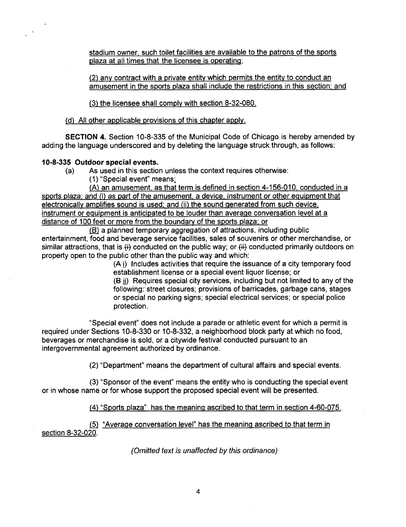stadium owner, such toilet facilities are available to the patrons of the sports plaza at all times that the licensee is operating:

(2) any contract with a private entity which permits the entity to conduct an amusement in the sports plaza shall include the restrictions in this section: and

(3) the licensee shall comply with section 8-32-080.

(d) All other applicable provisions of this chapter apply.

SECTION 4. Section 10-8-335 of the Municipal Code of Chicago is hereby amended by adding the language underscored and by deleting the language struck through, as follows:

# **10-8-335 Outdoor special events.**

- (a) As used in this section unless the context requires otherwise:
	- (1) "Special event" means;

(A) an amusement, as that term is defined in section 4-156-010, conducted in a sports plaza; and (i) as part of the amusement, a device, instrument or other equipment that electronically amplifies sound is used; and (ii) the sound generated from such device, instrument or eguipment is anticipated to be louder than average conversation level at a distance of 100 feet or more from the boundary of the sports plaza; or

(B) a planned temporary aggregation of attractions, including public entertainment, food and beverage service facilities, sales of souvenirs or other merchandise, or similar attractions, that is  $\leftrightarrow$  conducted on the public way; or  $\leftrightarrow$  conducted primarily outdoors on property open to the public other than the public way and which:

(A i) Includes activities that require the issuance of a city temporary food establishment license or a special event liquor license; or

(B ii) Requires special city services, including but not limited to any of the following: street closures; provisions of barricades, garbage cans, stages or special no parking signs; special electrical services; or special police protection.

"Special event" does not include a parade or athletic event for which a permit is required under Sections 10-8-330 or 10-8-332, a neighborhood block party at which no food, beverages or merchandise is sold, or a citywide festival conducted pursuant to an intergovernmental agreement authorized by ordinance.

(2) "Department" means the department of cultural affairs and special events.

(3) "Sponsor of the event" means the entity who is conducting the special event or in whose name or for whose support the proposed special event will be presented.

(4) "Sports plaza" has the meaning ascribed to that term in section 4-60-075.

(5) "Average conversation level" has the meaning ascribed to that term in section 8-32-020.

(Omitted text is unaffected by this ordinance)